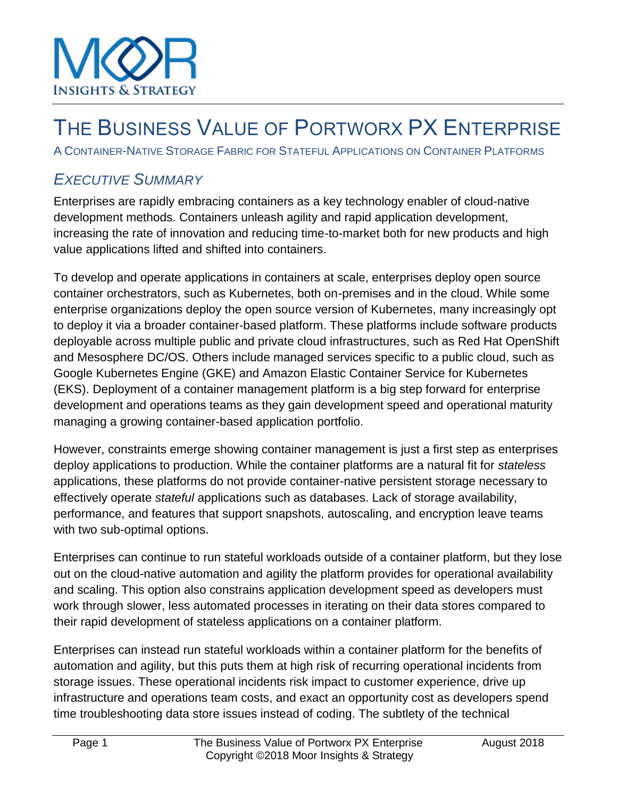

## THE BUSINESS VALUE OF PORTWORX PX ENTERPRISE

A CONTAINER-NATIVE STORAGE FABRIC FOR STATEFUL APPLICATIONS ON CONTAINER PLATFORMS

## *EXECUTIVE SUMMARY*

Enterprises are rapidly embracing containers as a key technology enabler of cloud-native development methods. Containers unleash agility and rapid application development, increasing the rate of innovation and reducing time-to-market both for new products and high value applications lifted and shifted into containers.

To develop and operate applications in containers at scale, enterprises deploy open source container orchestrators, such as Kubernetes, both on-premises and in the cloud. While some enterprise organizations deploy the open source version of Kubernetes, many increasingly opt to deploy it via a broader container-based platform. These platforms include software products deployable across multiple public and private cloud infrastructures, such as Red Hat OpenShift and Mesosphere DC/OS. Others include managed services specific to a public cloud, such as Google Kubernetes Engine (GKE) and Amazon Elastic Container Service for Kubernetes (EKS). Deployment of a container management platform is a big step forward for enterprise development and operations teams as they gain development speed and operational maturity managing a growing container-based application portfolio.

However, constraints emerge showing container management is just a first step as enterprises deploy applications to production. While the container platforms are a natural fit for *stateless* applications, these platforms do not provide container-native persistent storage necessary to effectively operate *stateful* applications such as databases. Lack of storage availability, performance, and features that support snapshots, autoscaling, and encryption leave teams with two sub-optimal options.

Enterprises can continue to run stateful workloads outside of a container platform, but they lose out on the cloud-native automation and agility the platform provides for operational availability and scaling. This option also constrains application development speed as developers must work through slower, less automated processes in iterating on their data stores compared to their rapid development of stateless applications on a container platform.

Enterprises can instead run stateful workloads within a container platform for the benefits of automation and agility, but this puts them at high risk of recurring operational incidents from storage issues. These operational incidents risk impact to customer experience, drive up infrastructure and operations team costs, and exact an opportunity cost as developers spend time troubleshooting data store issues instead of coding. The subtlety of the technical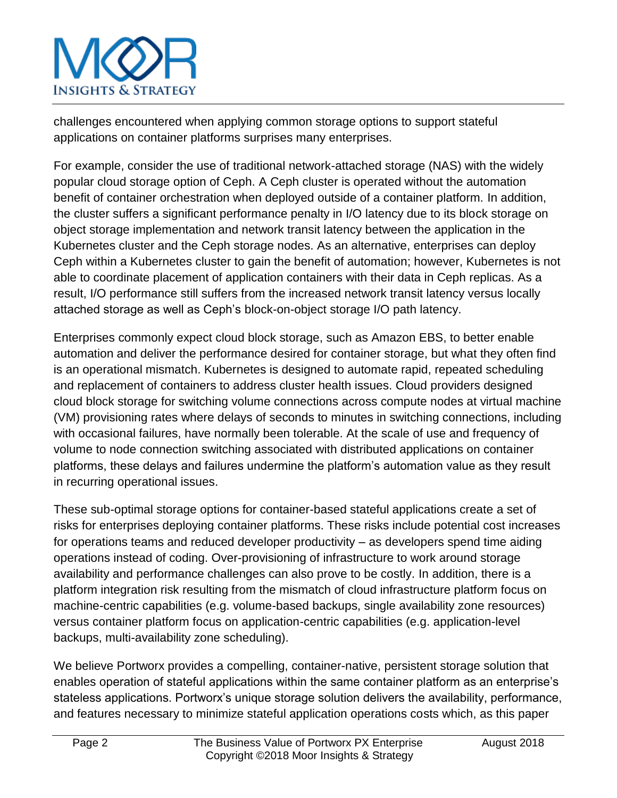challenges encountered when applying common storage options to support stateful applications on container platforms surprises many enterprises.

For example, consider the use of traditional network-attached storage (NAS) with the widely popular cloud storage option of Ceph. A Ceph cluster is operated without the automation benefit of container orchestration when deployed outside of a container platform. In addition, the cluster suffers a significant performance penalty in I/O latency due to its block storage on object storage implementation and network transit latency between the application in the Kubernetes cluster and the Ceph storage nodes. As an alternative, enterprises can deploy Ceph within a Kubernetes cluster to gain the benefit of automation; however, Kubernetes is not able to coordinate placement of application containers with their data in Ceph replicas. As a result, I/O performance still suffers from the increased network transit latency versus locally attached storage as well as Ceph's block-on-object storage I/O path latency.

Enterprises commonly expect cloud block storage, such as Amazon EBS, to better enable automation and deliver the performance desired for container storage, but what they often find is an operational mismatch. Kubernetes is designed to automate rapid, repeated scheduling and replacement of containers to address cluster health issues. Cloud providers designed cloud block storage for switching volume connections across compute nodes at virtual machine (VM) provisioning rates where delays of seconds to minutes in switching connections, including with occasional failures, have normally been tolerable. At the scale of use and frequency of volume to node connection switching associated with distributed applications on container platforms, these delays and failures undermine the platform's automation value as they result in recurring operational issues.

These sub-optimal storage options for container-based stateful applications create a set of risks for enterprises deploying container platforms. These risks include potential cost increases for operations teams and reduced developer productivity – as developers spend time aiding operations instead of coding. Over-provisioning of infrastructure to work around storage availability and performance challenges can also prove to be costly. In addition, there is a platform integration risk resulting from the mismatch of cloud infrastructure platform focus on machine-centric capabilities (e.g. volume-based backups, single availability zone resources) versus container platform focus on application-centric capabilities (e.g. application-level backups, multi-availability zone scheduling).

We believe Portworx provides a compelling, container-native, persistent storage solution that enables operation of stateful applications within the same container platform as an enterprise's stateless applications. Portworx's unique storage solution delivers the availability, performance, and features necessary to minimize stateful application operations costs which, as this paper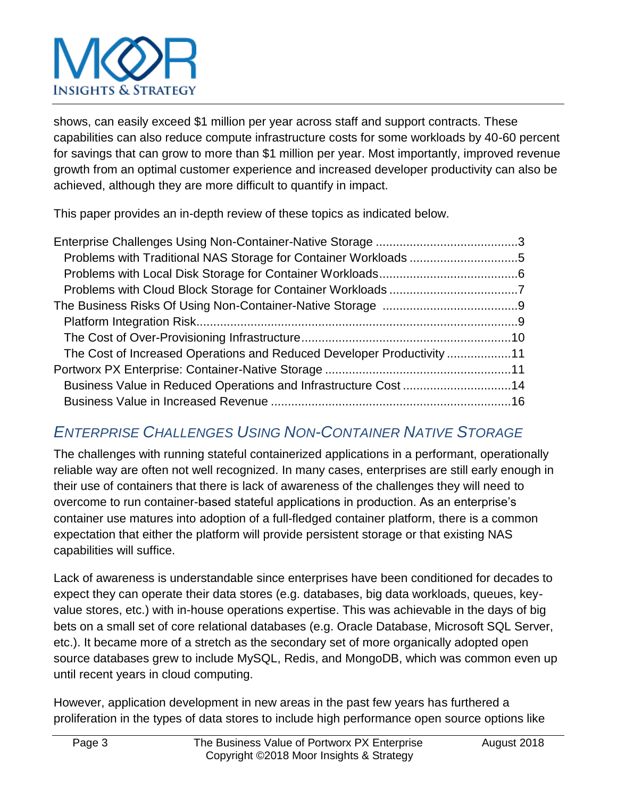## Insights & Strategy

shows, can easily exceed \$1 million per year across staff and support contracts. These capabilities can also reduce compute infrastructure costs for some workloads by 40-60 percent for savings that can grow to more than \$1 million per year. Most importantly, improved revenue growth from an optimal customer experience and increased developer productivity can also be achieved, although they are more difficult to quantify in impact.

This paper provides an in-depth review of these topics as indicated below.

| The Cost of Increased Operations and Reduced Developer Productivity 11 |  |
|------------------------------------------------------------------------|--|
|                                                                        |  |
| Business Value in Reduced Operations and Infrastructure Cost 14        |  |
|                                                                        |  |
|                                                                        |  |

### *ENTERPRISE CHALLENGES USING NON-CONTAINER NATIVE STORAGE*

The challenges with running stateful containerized applications in a performant, operationally reliable way are often not well recognized. In many cases, enterprises are still early enough in their use of containers that there is lack of awareness of the challenges they will need to overcome to run container-based stateful applications in production. As an enterprise's container use matures into adoption of a full-fledged container platform, there is a common expectation that either the platform will provide persistent storage or that existing NAS capabilities will suffice.

Lack of awareness is understandable since enterprises have been conditioned for decades to expect they can operate their data stores (e.g. databases, big data workloads, queues, keyvalue stores, etc.) with in-house operations expertise. This was achievable in the days of big bets on a small set of core relational databases (e.g. Oracle Database, Microsoft SQL Server, etc.). It became more of a stretch as the secondary set of more organically adopted open source databases grew to include MySQL, Redis, and MongoDB, which was common even up until recent years in cloud computing.

However, application development in new areas in the past few years has furthered a proliferation in the types of data stores to include high performance open source options like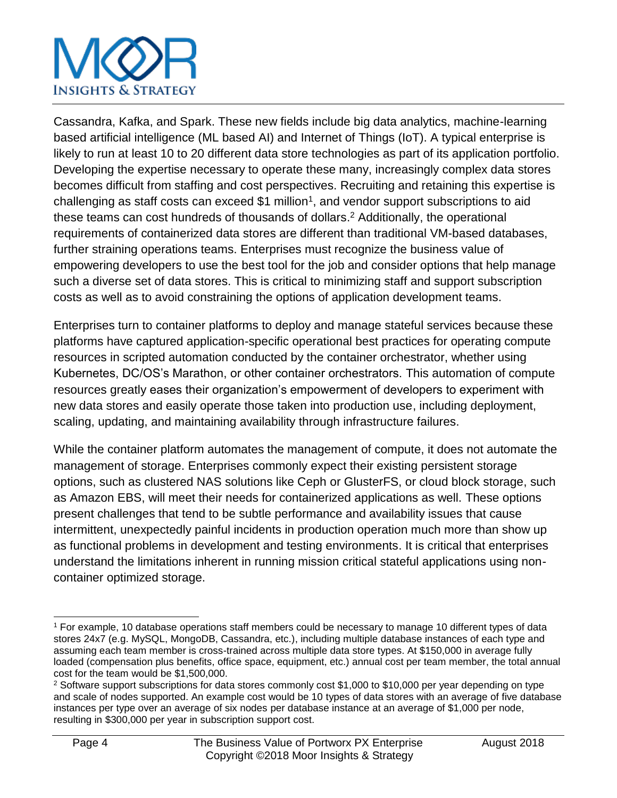Cassandra, Kafka, and Spark. These new fields include big data analytics, machine-learning based artificial intelligence (ML based AI) and Internet of Things (IoT). A typical enterprise is likely to run at least 10 to 20 different data store technologies as part of its application portfolio. Developing the expertise necessary to operate these many, increasingly complex data stores becomes difficult from staffing and cost perspectives. Recruiting and retaining this expertise is challenging as staff costs can exceed \$1 million<sup>1</sup>, and vendor support subscriptions to aid these teams can cost hundreds of thousands of dollars. <sup>2</sup> Additionally, the operational requirements of containerized data stores are different than traditional VM-based databases, further straining operations teams. Enterprises must recognize the business value of empowering developers to use the best tool for the job and consider options that help manage such a diverse set of data stores. This is critical to minimizing staff and support subscription costs as well as to avoid constraining the options of application development teams.

Enterprises turn to container platforms to deploy and manage stateful services because these platforms have captured application-specific operational best practices for operating compute resources in scripted automation conducted by the container orchestrator, whether using Kubernetes, DC/OS's Marathon, or other container orchestrators. This automation of compute resources greatly eases their organization's empowerment of developers to experiment with new data stores and easily operate those taken into production use, including deployment, scaling, updating, and maintaining availability through infrastructure failures.

While the container platform automates the management of compute, it does not automate the management of storage. Enterprises commonly expect their existing persistent storage options, such as clustered NAS solutions like Ceph or GlusterFS, or cloud block storage, such as Amazon EBS, will meet their needs for containerized applications as well. These options present challenges that tend to be subtle performance and availability issues that cause intermittent, unexpectedly painful incidents in production operation much more than show up as functional problems in development and testing environments. It is critical that enterprises understand the limitations inherent in running mission critical stateful applications using noncontainer optimized storage.

l <sup>1</sup> For example, 10 database operations staff members could be necessary to manage 10 different types of data stores 24x7 (e.g. MySQL, MongoDB, Cassandra, etc.), including multiple database instances of each type and assuming each team member is cross-trained across multiple data store types. At \$150,000 in average fully loaded (compensation plus benefits, office space, equipment, etc.) annual cost per team member, the total annual cost for the team would be \$1,500,000.

<sup>&</sup>lt;sup>2</sup> Software support subscriptions for data stores commonly cost \$1,000 to \$10,000 per year depending on type and scale of nodes supported. An example cost would be 10 types of data stores with an average of five database instances per type over an average of six nodes per database instance at an average of \$1,000 per node, resulting in \$300,000 per year in subscription support cost.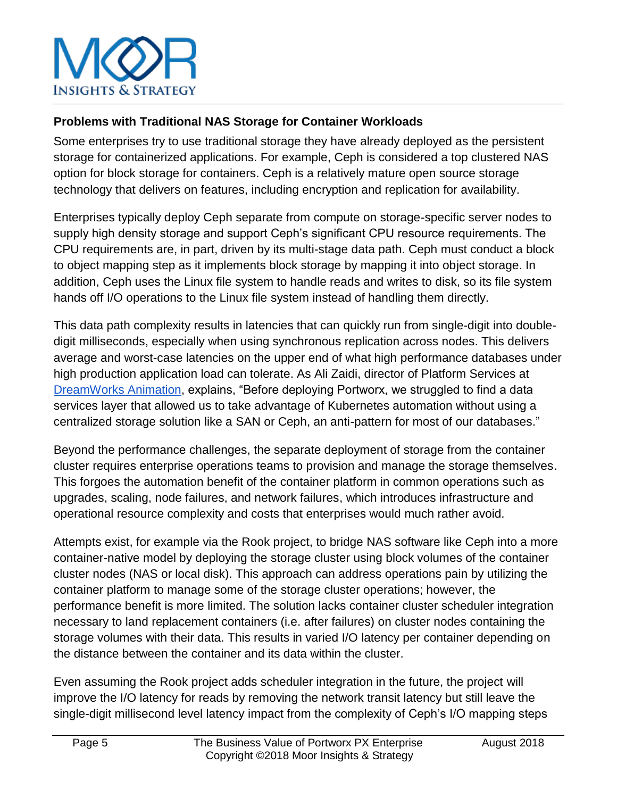

#### **Problems with Traditional NAS Storage for Container Workloads**

Some enterprises try to use traditional storage they have already deployed as the persistent storage for containerized applications. For example, Ceph is considered a top clustered NAS option for block storage for containers. Ceph is a relatively mature open source storage technology that delivers on features, including encryption and replication for availability.

Enterprises typically deploy Ceph separate from compute on storage-specific server nodes to supply high density storage and support Ceph's significant CPU resource requirements. The CPU requirements are, in part, driven by its multi-stage data path. Ceph must conduct a block to object mapping step as it implements block storage by mapping it into object storage. In addition, Ceph uses the Linux file system to handle reads and writes to disk, so its file system hands off I/O operations to the Linux file system instead of handling them directly.

This data path complexity results in latencies that can quickly run from single-digit into doubledigit milliseconds, especially when using synchronous replication across nodes. This delivers average and worst-case latencies on the upper end of what high performance databases under high production application load can tolerate. As Ali Zaidi, director of Platform Services a[t](https://portworx.com/customers/) [DreamWorks Animation,](https://portworx.com/customers/) explains, "Before deploying Portworx, we struggled to find a data services layer that allowed us to take advantage of Kubernetes automation without using a centralized storage solution like a SAN or Ceph, an anti-pattern for most of our databases."

Beyond the performance challenges, the separate deployment of storage from the container cluster requires enterprise operations teams to provision and manage the storage themselves. This forgoes the automation benefit of the container platform in common operations such as upgrades, scaling, node failures, and network failures, which introduces infrastructure and operational resource complexity and costs that enterprises would much rather avoid.

Attempts exist, for example via the Rook project, to bridge NAS software like Ceph into a more container-native model by deploying the storage cluster using block volumes of the container cluster nodes (NAS or local disk). This approach can address operations pain by utilizing the container platform to manage some of the storage cluster operations; however, the performance benefit is more limited. The solution lacks container cluster scheduler integration necessary to land replacement containers (i.e. after failures) on cluster nodes containing the storage volumes with their data. This results in varied I/O latency per container depending on the distance between the container and its data within the cluster.

Even assuming the Rook project adds scheduler integration in the future, the project will improve the I/O latency for reads by removing the network transit latency but still leave the single-digit millisecond level latency impact from the complexity of Ceph's I/O mapping steps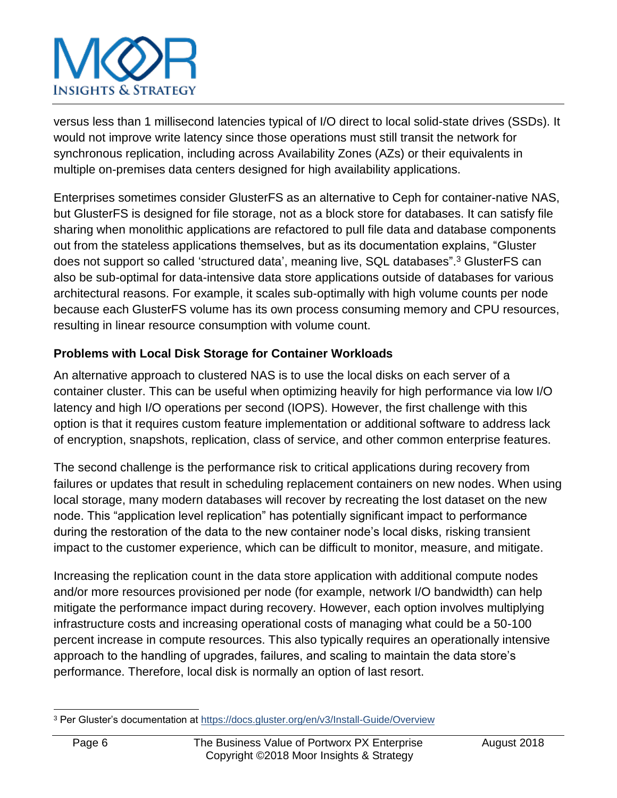versus less than 1 millisecond latencies typical of I/O direct to local solid-state drives (SSDs). It would not improve write latency since those operations must still transit the network for synchronous replication, including across Availability Zones (AZs) or their equivalents in multiple on-premises data centers designed for high availability applications.

Enterprises sometimes consider GlusterFS as an alternative to Ceph for container-native NAS, but GlusterFS is designed for file storage, not as a block store for databases. It can satisfy file sharing when monolithic applications are refactored to pull file data and database components out from the stateless applications themselves, but as its documentation explains, "Gluster does not support so called 'structured data', meaning live, SQL databases".<sup>3</sup> GlusterFS can also be sub-optimal for data-intensive data store applications outside of databases for various architectural reasons. For example, it scales sub-optimally with high volume counts per node because each GlusterFS volume has its own process consuming memory and CPU resources, resulting in linear resource consumption with volume count.

### **Problems with Local Disk Storage for Container Workloads**

An alternative approach to clustered NAS is to use the local disks on each server of a container cluster. This can be useful when optimizing heavily for high performance via low I/O latency and high I/O operations per second (IOPS). However, the first challenge with this option is that it requires custom feature implementation or additional software to address lack of encryption, snapshots, replication, class of service, and other common enterprise features.

The second challenge is the performance risk to critical applications during recovery from failures or updates that result in scheduling replacement containers on new nodes. When using local storage, many modern databases will recover by recreating the lost dataset on the new node. This "application level replication" has potentially significant impact to performance during the restoration of the data to the new container node's local disks, risking transient impact to the customer experience, which can be difficult to monitor, measure, and mitigate.

Increasing the replication count in the data store application with additional compute nodes and/or more resources provisioned per node (for example, network I/O bandwidth) can help mitigate the performance impact during recovery. However, each option involves multiplying infrastructure costs and increasing operational costs of managing what could be a 50-100 percent increase in compute resources. This also typically requires an operationally intensive approach to the handling of upgrades, failures, and scaling to maintain the data store's performance. Therefore, local disk is normally an option of last resort.

l <sup>3</sup> Per Gluster's documentation at<https://docs.gluster.org/en/v3/Install-Guide/Overview>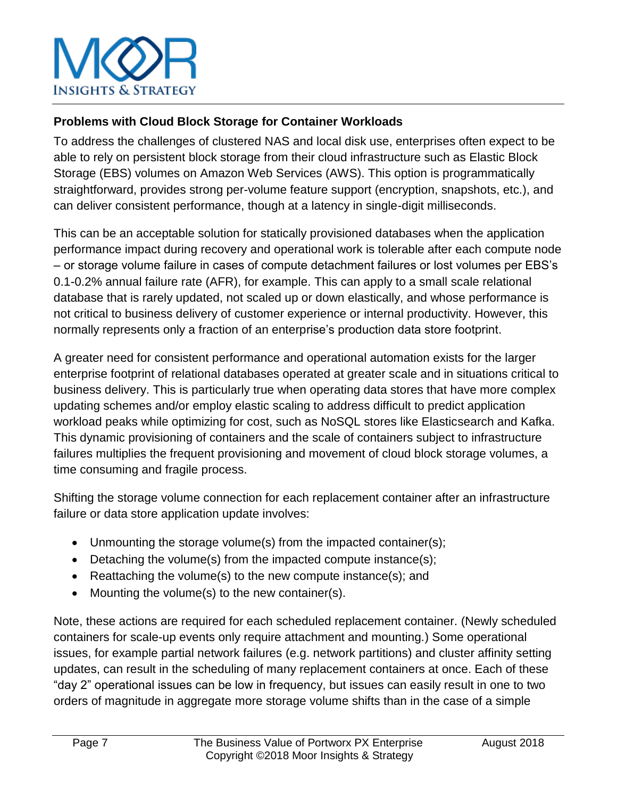

#### **Problems with Cloud Block Storage for Container Workloads**

To address the challenges of clustered NAS and local disk use, enterprises often expect to be able to rely on persistent block storage from their cloud infrastructure such as Elastic Block Storage (EBS) volumes on Amazon Web Services (AWS). This option is programmatically straightforward, provides strong per-volume feature support (encryption, snapshots, etc.), and can deliver consistent performance, though at a latency in single-digit milliseconds.

This can be an acceptable solution for statically provisioned databases when the application performance impact during recovery and operational work is tolerable after each compute node – or storage volume failure in cases of compute detachment failures or lost volumes per EBS's 0.1-0.2% annual failure rate (AFR), for example. This can apply to a small scale relational database that is rarely updated, not scaled up or down elastically, and whose performance is not critical to business delivery of customer experience or internal productivity. However, this normally represents only a fraction of an enterprise's production data store footprint.

A greater need for consistent performance and operational automation exists for the larger enterprise footprint of relational databases operated at greater scale and in situations critical to business delivery. This is particularly true when operating data stores that have more complex updating schemes and/or employ elastic scaling to address difficult to predict application workload peaks while optimizing for cost, such as NoSQL stores like Elasticsearch and Kafka. This dynamic provisioning of containers and the scale of containers subject to infrastructure failures multiplies the frequent provisioning and movement of cloud block storage volumes, a time consuming and fragile process.

Shifting the storage volume connection for each replacement container after an infrastructure failure or data store application update involves:

- Unmounting the storage volume(s) from the impacted container(s);
- Detaching the volume(s) from the impacted compute instance(s);
- Reattaching the volume(s) to the new compute instance(s); and
- Mounting the volume(s) to the new container(s).

Note, these actions are required for each scheduled replacement container. (Newly scheduled containers for scale-up events only require attachment and mounting.) Some operational issues, for example partial network failures (e.g. network partitions) and cluster affinity setting updates, can result in the scheduling of many replacement containers at once. Each of these "day 2" operational issues can be low in frequency, but issues can easily result in one to two orders of magnitude in aggregate more storage volume shifts than in the case of a simple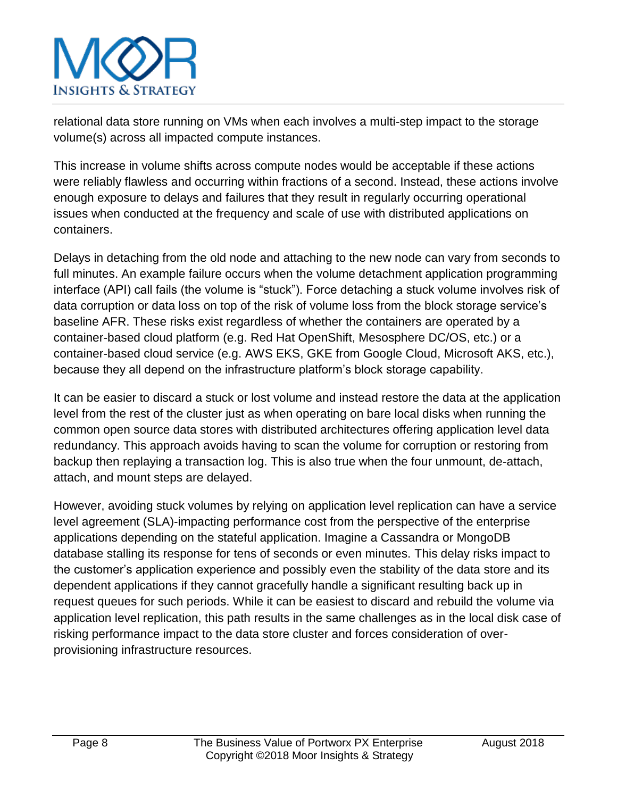relational data store running on VMs when each involves a multi-step impact to the storage volume(s) across all impacted compute instances.

This increase in volume shifts across compute nodes would be acceptable if these actions were reliably flawless and occurring within fractions of a second. Instead, these actions involve enough exposure to delays and failures that they result in regularly occurring operational issues when conducted at the frequency and scale of use with distributed applications on containers.

Delays in detaching from the old node and attaching to the new node can vary from seconds to full minutes. An example failure occurs when the volume detachment application programming interface (API) call fails (the volume is "stuck"). Force detaching a stuck volume involves risk of data corruption or data loss on top of the risk of volume loss from the block storage service's baseline AFR. These risks exist regardless of whether the containers are operated by a container-based cloud platform (e.g. Red Hat OpenShift, Mesosphere DC/OS, etc.) or a container-based cloud service (e.g. AWS EKS, GKE from Google Cloud, Microsoft AKS, etc.), because they all depend on the infrastructure platform's block storage capability.

It can be easier to discard a stuck or lost volume and instead restore the data at the application level from the rest of the cluster just as when operating on bare local disks when running the common open source data stores with distributed architectures offering application level data redundancy. This approach avoids having to scan the volume for corruption or restoring from backup then replaying a transaction log. This is also true when the four unmount, de-attach, attach, and mount steps are delayed.

However, avoiding stuck volumes by relying on application level replication can have a service level agreement (SLA)-impacting performance cost from the perspective of the enterprise applications depending on the stateful application. Imagine a Cassandra or MongoDB database stalling its response for tens of seconds or even minutes. This delay risks impact to the customer's application experience and possibly even the stability of the data store and its dependent applications if they cannot gracefully handle a significant resulting back up in request queues for such periods. While it can be easiest to discard and rebuild the volume via application level replication, this path results in the same challenges as in the local disk case of risking performance impact to the data store cluster and forces consideration of overprovisioning infrastructure resources.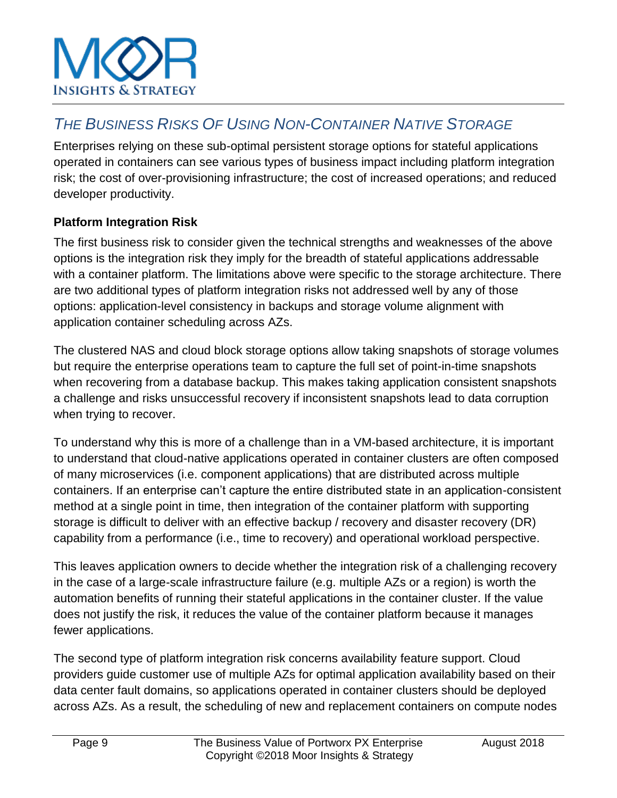

## *THE BUSINESS RISKS OF USING NON-CONTAINER NATIVE STORAGE*

Enterprises relying on these sub-optimal persistent storage options for stateful applications operated in containers can see various types of business impact including platform integration risk; the cost of over-provisioning infrastructure; the cost of increased operations; and reduced developer productivity.

#### **Platform Integration Risk**

The first business risk to consider given the technical strengths and weaknesses of the above options is the integration risk they imply for the breadth of stateful applications addressable with a container platform. The limitations above were specific to the storage architecture. There are two additional types of platform integration risks not addressed well by any of those options: application-level consistency in backups and storage volume alignment with application container scheduling across AZs.

The clustered NAS and cloud block storage options allow taking snapshots of storage volumes but require the enterprise operations team to capture the full set of point-in-time snapshots when recovering from a database backup. This makes taking application consistent snapshots a challenge and risks unsuccessful recovery if inconsistent snapshots lead to data corruption when trying to recover.

To understand why this is more of a challenge than in a VM-based architecture, it is important to understand that cloud-native applications operated in container clusters are often composed of many microservices (i.e. component applications) that are distributed across multiple containers. If an enterprise can't capture the entire distributed state in an application-consistent method at a single point in time, then integration of the container platform with supporting storage is difficult to deliver with an effective backup / recovery and disaster recovery (DR) capability from a performance (i.e., time to recovery) and operational workload perspective.

This leaves application owners to decide whether the integration risk of a challenging recovery in the case of a large-scale infrastructure failure (e.g. multiple AZs or a region) is worth the automation benefits of running their stateful applications in the container cluster. If the value does not justify the risk, it reduces the value of the container platform because it manages fewer applications.

The second type of platform integration risk concerns availability feature support. Cloud providers guide customer use of multiple AZs for optimal application availability based on their data center fault domains, so applications operated in container clusters should be deployed across AZs. As a result, the scheduling of new and replacement containers on compute nodes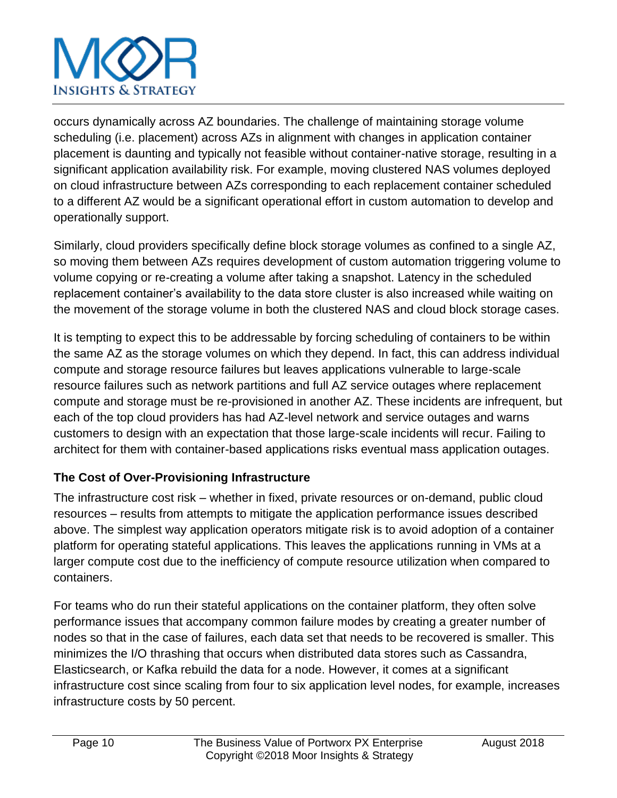occurs dynamically across AZ boundaries. The challenge of maintaining storage volume scheduling (i.e. placement) across AZs in alignment with changes in application container placement is daunting and typically not feasible without container-native storage, resulting in a significant application availability risk. For example, moving clustered NAS volumes deployed on cloud infrastructure between AZs corresponding to each replacement container scheduled to a different AZ would be a significant operational effort in custom automation to develop and operationally support.

Similarly, cloud providers specifically define block storage volumes as confined to a single AZ, so moving them between AZs requires development of custom automation triggering volume to volume copying or re-creating a volume after taking a snapshot. Latency in the scheduled replacement container's availability to the data store cluster is also increased while waiting on the movement of the storage volume in both the clustered NAS and cloud block storage cases.

It is tempting to expect this to be addressable by forcing scheduling of containers to be within the same AZ as the storage volumes on which they depend. In fact, this can address individual compute and storage resource failures but leaves applications vulnerable to large-scale resource failures such as network partitions and full AZ service outages where replacement compute and storage must be re-provisioned in another AZ. These incidents are infrequent, but each of the top cloud providers has had AZ-level network and service outages and warns customers to design with an expectation that those large-scale incidents will recur. Failing to architect for them with container-based applications risks eventual mass application outages.

### **The Cost of Over-Provisioning Infrastructure**

The infrastructure cost risk – whether in fixed, private resources or on-demand, public cloud resources – results from attempts to mitigate the application performance issues described above. The simplest way application operators mitigate risk is to avoid adoption of a container platform for operating stateful applications. This leaves the applications running in VMs at a larger compute cost due to the inefficiency of compute resource utilization when compared to containers.

For teams who do run their stateful applications on the container platform, they often solve performance issues that accompany common failure modes by creating a greater number of nodes so that in the case of failures, each data set that needs to be recovered is smaller. This minimizes the I/O thrashing that occurs when distributed data stores such as Cassandra, Elasticsearch, or Kafka rebuild the data for a node. However, it comes at a significant infrastructure cost since scaling from four to six application level nodes, for example, increases infrastructure costs by 50 percent.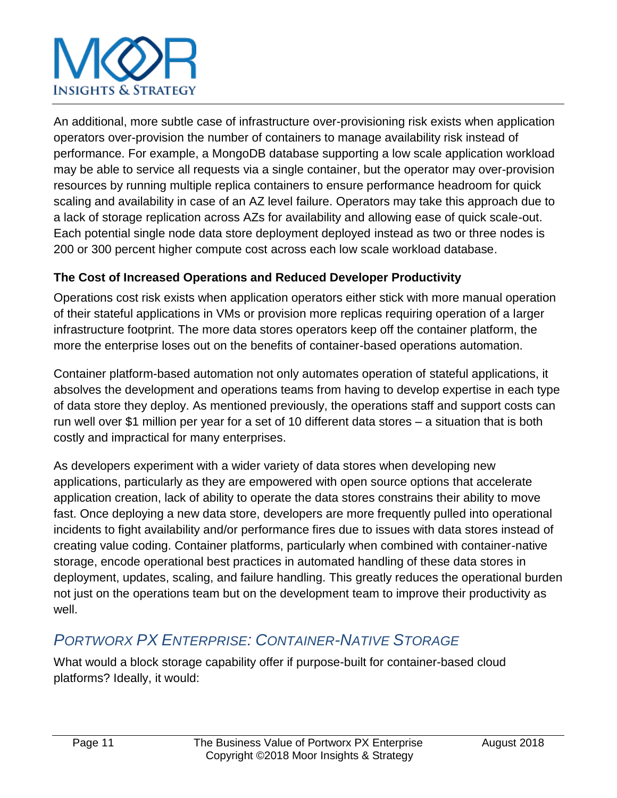An additional, more subtle case of infrastructure over-provisioning risk exists when application operators over-provision the number of containers to manage availability risk instead of performance. For example, a MongoDB database supporting a low scale application workload may be able to service all requests via a single container, but the operator may over-provision resources by running multiple replica containers to ensure performance headroom for quick scaling and availability in case of an AZ level failure. Operators may take this approach due to a lack of storage replication across AZs for availability and allowing ease of quick scale-out. Each potential single node data store deployment deployed instead as two or three nodes is 200 or 300 percent higher compute cost across each low scale workload database.

### **The Cost of Increased Operations and Reduced Developer Productivity**

Operations cost risk exists when application operators either stick with more manual operation of their stateful applications in VMs or provision more replicas requiring operation of a larger infrastructure footprint. The more data stores operators keep off the container platform, the more the enterprise loses out on the benefits of container-based operations automation.

Container platform-based automation not only automates operation of stateful applications, it absolves the development and operations teams from having to develop expertise in each type of data store they deploy. As mentioned previously, the operations staff and support costs can run well over \$1 million per year for a set of 10 different data stores – a situation that is both costly and impractical for many enterprises.

As developers experiment with a wider variety of data stores when developing new applications, particularly as they are empowered with open source options that accelerate application creation, lack of ability to operate the data stores constrains their ability to move fast. Once deploying a new data store, developers are more frequently pulled into operational incidents to fight availability and/or performance fires due to issues with data stores instead of creating value coding. Container platforms, particularly when combined with container-native storage, encode operational best practices in automated handling of these data stores in deployment, updates, scaling, and failure handling. This greatly reduces the operational burden not just on the operations team but on the development team to improve their productivity as well.

### *PORTWORX PX ENTERPRISE: CONTAINER-NATIVE STORAGE*

What would a block storage capability offer if purpose-built for container-based cloud platforms? Ideally, it would: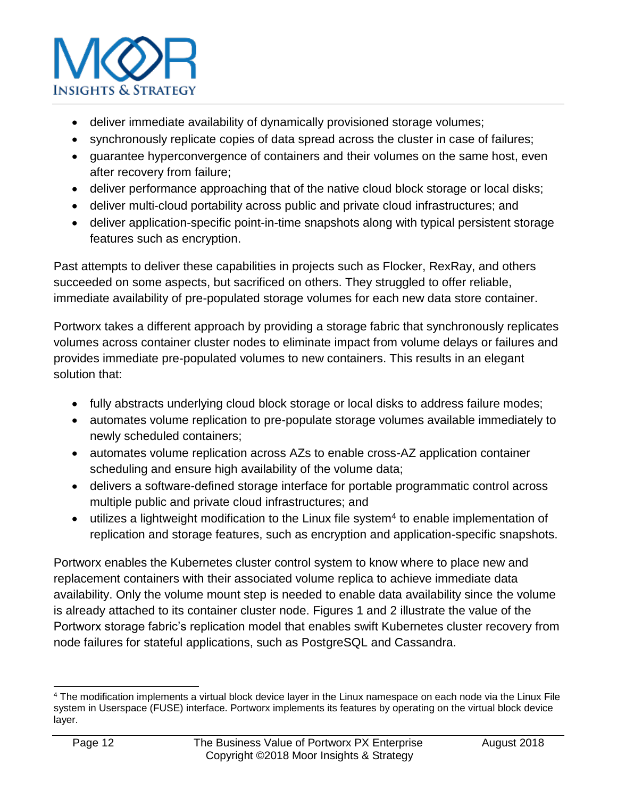

- deliver immediate availability of dynamically provisioned storage volumes;
- synchronously replicate copies of data spread across the cluster in case of failures;
- guarantee hyperconvergence of containers and their volumes on the same host, even after recovery from failure;
- deliver performance approaching that of the native cloud block storage or local disks;
- deliver multi-cloud portability across public and private cloud infrastructures; and
- deliver application-specific point-in-time snapshots along with typical persistent storage features such as encryption.

Past attempts to deliver these capabilities in projects such as Flocker, RexRay, and others succeeded on some aspects, but sacrificed on others. They struggled to offer reliable, immediate availability of pre-populated storage volumes for each new data store container.

Portworx takes a different approach by providing a storage fabric that synchronously replicates volumes across container cluster nodes to eliminate impact from volume delays or failures and provides immediate pre-populated volumes to new containers. This results in an elegant solution that:

- fully abstracts underlying cloud block storage or local disks to address failure modes;
- automates volume replication to pre-populate storage volumes available immediately to newly scheduled containers;
- automates volume replication across AZs to enable cross-AZ application container scheduling and ensure high availability of the volume data;
- delivers a software-defined storage interface for portable programmatic control across multiple public and private cloud infrastructures; and
- $\bullet$  utilizes a lightweight modification to the Linux file system<sup>4</sup> to enable implementation of replication and storage features, such as encryption and application-specific snapshots.

Portworx enables the Kubernetes cluster control system to know where to place new and replacement containers with their associated volume replica to achieve immediate data availability. Only the volume mount step is needed to enable data availability since the volume is already attached to its container cluster node. Figures 1 and 2 illustrate the value of the Portworx storage fabric's replication model that enables swift Kubernetes cluster recovery from node failures for stateful applications, such as PostgreSQL and Cassandra.

l <sup>4</sup> The modification implements a virtual block device layer in the Linux namespace on each node via the Linux File system in Userspace (FUSE) interface. Portworx implements its features by operating on the virtual block device layer.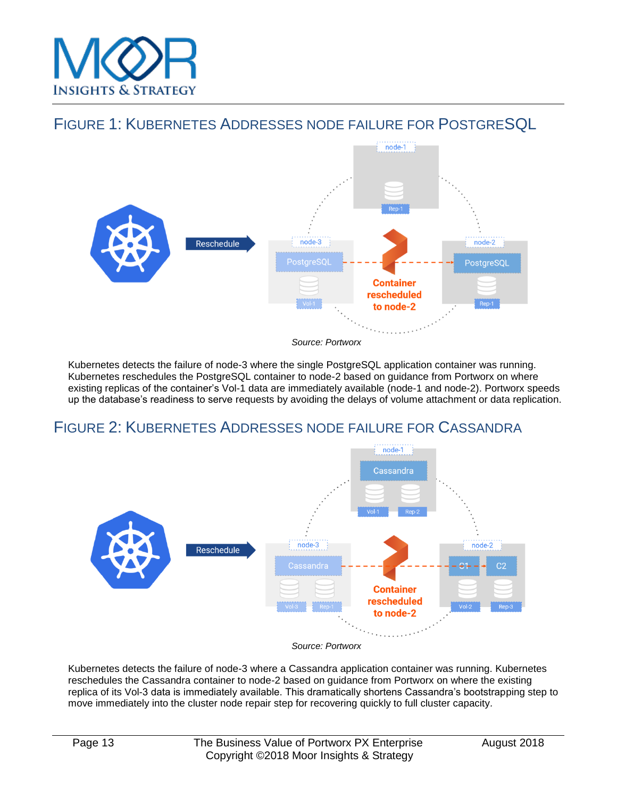

### FIGURE 1: KUBERNETES ADDRESSES NODE FAILURE FOR POSTGRESQL



Kubernetes detects the failure of node-3 where the single PostgreSQL application container was running. Kubernetes reschedules the PostgreSQL container to node-2 based on guidance from Portworx on where existing replicas of the container's Vol-1 data are immediately available (node-1 and node-2). Portworx speeds up the database's readiness to serve requests by avoiding the delays of volume attachment or data replication.

### FIGURE 2: KUBERNETES ADDRESSES NODE FAILURE FOR CASSANDRA



*Source: Portworx*

Kubernetes detects the failure of node-3 where a Cassandra application container was running. Kubernetes reschedules the Cassandra container to node-2 based on guidance from Portworx on where the existing replica of its Vol-3 data is immediately available. This dramatically shortens Cassandra's bootstrapping step to move immediately into the cluster node repair step for recovering quickly to full cluster capacity*.*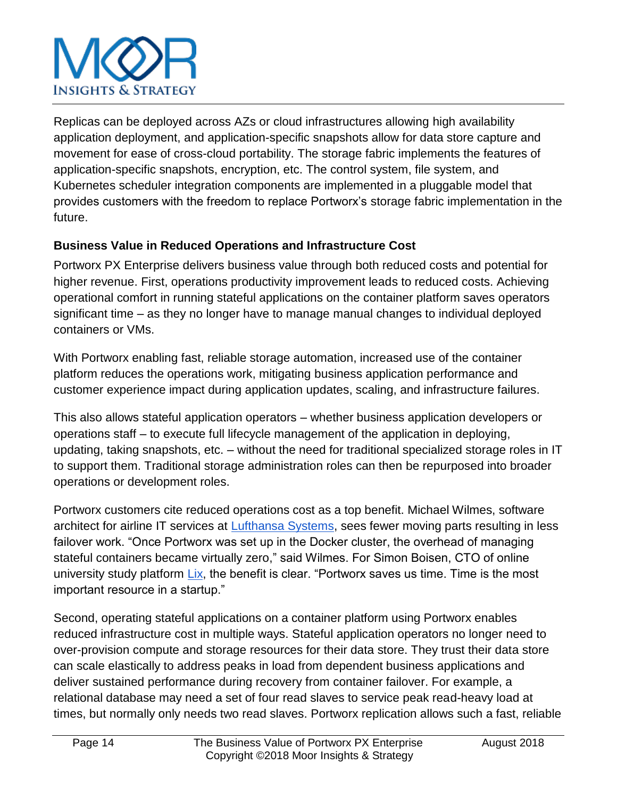Replicas can be deployed across AZs or cloud infrastructures allowing high availability application deployment, and application-specific snapshots allow for data store capture and movement for ease of cross-cloud portability. The storage fabric implements the features of application-specific snapshots, encryption, etc. The control system, file system, and Kubernetes scheduler integration components are implemented in a pluggable model that provides customers with the freedom to replace Portworx's storage fabric implementation in the future.

### **Business Value in Reduced Operations and Infrastructure Cost**

Portworx PX Enterprise delivers business value through both reduced costs and potential for higher revenue. First, operations productivity improvement leads to reduced costs. Achieving operational comfort in running stateful applications on the container platform saves operators significant time – as they no longer have to manage manual changes to individual deployed containers or VMs.

With Portworx enabling fast, reliable storage automation, increased use of the container platform reduces the operations work, mitigating business application performance and customer experience impact during application updates, scaling, and infrastructure failures.

This also allows stateful application operators – whether business application developers or operations staff – to execute full lifecycle management of the application in deploying, updating, taking snapshots, etc. – without the need for traditional specialized storage roles in IT to support them. Traditional storage administration roles can then be repurposed into broader operations or development roles.

Portworx customers cite reduced operations cost as a top benefit. Michael Wilmes, software architect for airline IT services at [Lufthansa Systems,](https://portworx.com/press_release/lufthansa-systems-enlists-portworx-help-deliver-award-winning-boardconnect-flight-connectivity-entertainment/) sees fewer moving parts resulting in less failover work. "Once Portworx was set up in the Docker cluster, the overhead of managing stateful containers became virtually zero," said Wilmes. For Simon Boisen, CTO of online university study platfor[m](https://portworx.com/cassandra-postgres-elk-ops-kubernetes/)  $Lix$ , the benefit is clear. "Portworx saves us time. Time is the most important resource in a startup."

Second, operating stateful applications on a container platform using Portworx enables reduced infrastructure cost in multiple ways. Stateful application operators no longer need to over-provision compute and storage resources for their data store. They trust their data store can scale elastically to address peaks in load from dependent business applications and deliver sustained performance during recovery from container failover. For example, a relational database may need a set of four read slaves to service peak read-heavy load at times, but normally only needs two read slaves. Portworx replication allows such a fast, reliable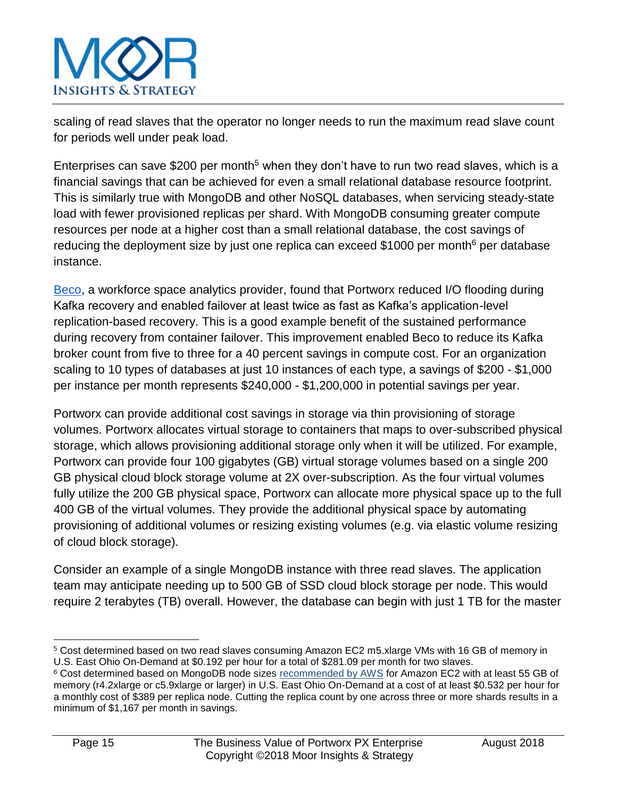scaling of read slaves that the operator no longer needs to run the maximum read slave count for periods well under peak load.

Enterprises can save \$200 per month<sup>5</sup> when they don't have to run two read slaves, which is a financial savings that can be achieved for even a small relational database resource footprint. This is similarly true with MongoDB and other NoSQL databases, when servicing steady-state load with fewer provisioned replicas per shard. With MongoDB consuming greater compute resources per node at a higher cost than a small relational database, the cost savings of reducing the deployment size by just one replica can exceed \$1000 per month<sup>6</sup> per database instance.

[Beco,](https://portworx.com/architects-corner-jeffrey-zampieron-cto-beco-inc/) a workforce space analytics provider, found that Portworx reduced I/O flooding during Kafka recovery and enabled failover at least twice as fast as Kafka's application-level replication-based recovery. This is a good example benefit of the sustained performance during recovery from container failover. This improvement enabled Beco to reduce its Kafka broker count from five to three for a 40 percent savings in compute cost. For an organization scaling to 10 types of databases at just 10 instances of each type, a savings of \$200 - \$1,000 per instance per month represents \$240,000 - \$1,200,000 in potential savings per year.

Portworx can provide additional cost savings in storage via thin provisioning of storage volumes. Portworx allocates virtual storage to containers that maps to over-subscribed physical storage, which allows provisioning additional storage only when it will be utilized. For example, Portworx can provide four 100 gigabytes (GB) virtual storage volumes based on a single 200 GB physical cloud block storage volume at 2X over-subscription. As the four virtual volumes fully utilize the 200 GB physical space, Portworx can allocate more physical space up to the full 400 GB of the virtual volumes. They provide the additional physical space by automating provisioning of additional volumes or resizing existing volumes (e.g. via elastic volume resizing of cloud block storage).

Consider an example of a single MongoDB instance with three read slaves. The application team may anticipate needing up to 500 GB of SSD cloud block storage per node. This would require 2 terabytes (TB) overall. However, the database can begin with just 1 TB for the master

l <sup>5</sup> Cost determined based on two read slaves consuming Amazon EC2 m5.xlarge VMs with 16 GB of memory in U.S. East Ohio On-Demand at \$0.192 per hour for a total of \$281.09 per month for two slaves.

<sup>&</sup>lt;sup>6</sup> Cost determined based on MongoDB node sizes [recommended by AWS](https://docs.aws.amazon.com/quickstart/latest/mongodb/architecture.html) for Amazon EC2 with at least 55 GB of memory (r4.2xlarge or c5.9xlarge or larger) in U.S. East Ohio On-Demand at a cost of at least \$0.532 per hour for a monthly cost of \$389 per replica node. Cutting the replica count by one across three or more shards results in a minimum of \$1,167 per month in savings.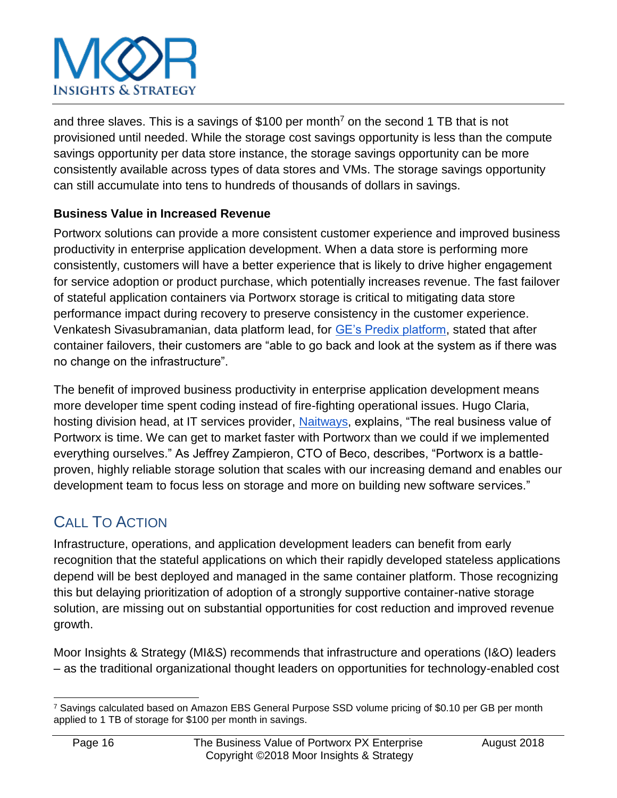and three slaves. This is a savings of \$100 per month<sup>7</sup> on the second 1 TB that is not provisioned until needed. While the storage cost savings opportunity is less than the compute savings opportunity per data store instance, the storage savings opportunity can be more consistently available across types of data stores and VMs. The storage savings opportunity can still accumulate into tens to hundreds of thousands of dollars in savings.

### **Business Value in Increased Revenue**

Portworx solutions can provide a more consistent customer experience and improved business productivity in enterprise application development. When a data store is performing more consistently, customers will have a better experience that is likely to drive higher engagement for service adoption or product purchase, which potentially increases revenue. The fast failover of stateful application containers via Portworx storage is critical to mitigating data store performance impact during recovery to preserve consistency in the customer experience. Venkatesh Sivasubramanian, data platform lead, fo[r](https://portworx.com/ge-mesosphere-dcos-portworx/) [GE's Predix platform,](https://portworx.com/ge-mesosphere-dcos-portworx/) stated that after container failovers, their customers are "able to go back and look at the system as if there was no change on the infrastructure".

The benefit of improved business productivity in enterprise application development means more developer time spent coding instead of fire-fighting operational issues. Hugo Claria, hosting division head, at IT services provider[,](https://portworx.com/architects-corner-naitways/) [Naitways,](https://portworx.com/architects-corner-naitways/) explains, "The real business value of Portworx is time. We can get to market faster with Portworx than we could if we implemented everything ourselves." As Jeffrey Zampieron, CTO of Beco, describes, "Portworx is a battleproven, highly reliable storage solution that scales with our increasing demand and enables our development team to focus less on storage and more on building new software services."

## CALL TO ACTION

Infrastructure, operations, and application development leaders can benefit from early recognition that the stateful applications on which their rapidly developed stateless applications depend will be best deployed and managed in the same container platform. Those recognizing this but delaying prioritization of adoption of a strongly supportive container-native storage solution, are missing out on substantial opportunities for cost reduction and improved revenue growth.

Moor Insights & Strategy (MI&S) recommends that infrastructure and operations (I&O) leaders – as the traditional organizational thought leaders on opportunities for technology-enabled cost

l <sup>7</sup> Savings calculated based on Amazon EBS General Purpose SSD volume pricing of \$0.10 per GB per month applied to 1 TB of storage for \$100 per month in savings.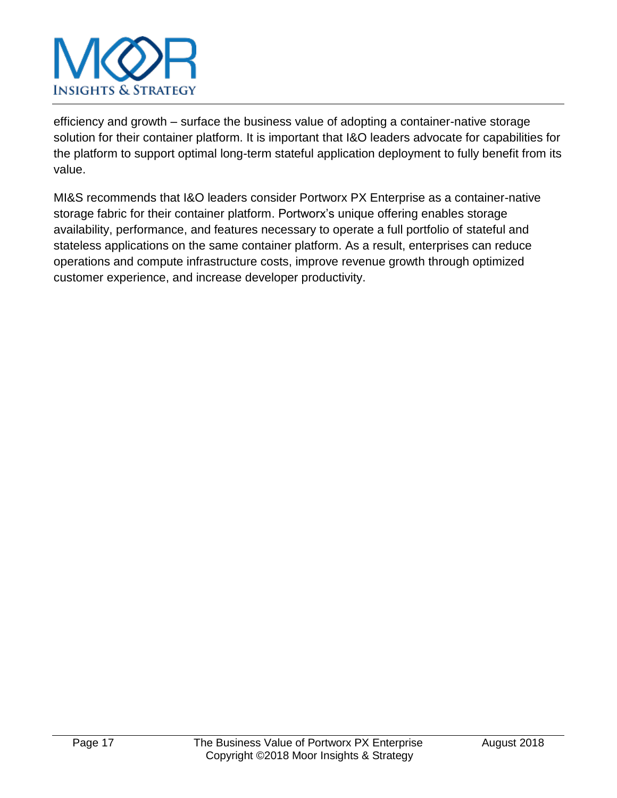

efficiency and growth – surface the business value of adopting a container-native storage solution for their container platform. It is important that I&O leaders advocate for capabilities for the platform to support optimal long-term stateful application deployment to fully benefit from its value.

MI&S recommends that I&O leaders consider Portworx PX Enterprise as a container-native storage fabric for their container platform. Portworx's unique offering enables storage availability, performance, and features necessary to operate a full portfolio of stateful and stateless applications on the same container platform. As a result, enterprises can reduce operations and compute infrastructure costs, improve revenue growth through optimized customer experience, and increase developer productivity.